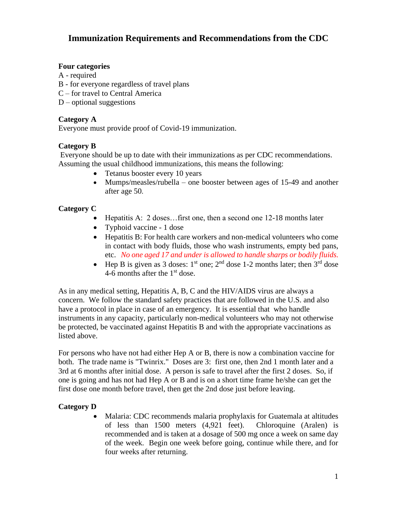# **Immunization Requirements and Recommendations from the CDC**

### **Four categories**

- A required
- B for everyone regardless of travel plans
- C for travel to Central America
- $D$  optional suggestions

### **Category A**

Everyone must provide proof of Covid-19 immunization.

# **Category B**

Everyone should be up to date with their immunizations as per CDC recommendations. Assuming the usual childhood immunizations, this means the following:

- Tetanus booster every 10 years
- Mumps/measles/rubella one booster between ages of 15-49 and another after age 50.

# **Category C**

- Hepatitis A: 2 doses...first one, then a second one 12-18 months later
- Typhoid vaccine 1 dose
- Hepatitis B: For health care workers and non-medical volunteers who come in contact with body fluids, those who wash instruments, empty bed pans, etc. *No one aged 17 and under is allowed to handle sharps or bodily fluids.*
- Hep B is given as 3 doses:  $1<sup>st</sup>$  one;  $2<sup>nd</sup>$  dose 1-2 months later; then  $3<sup>rd</sup>$  dose 4-6 months after the  $1<sup>st</sup>$  dose.

As in any medical setting, Hepatitis A, B, C and the HIV/AIDS virus are always a concern. We follow the standard safety practices that are followed in the U.S. and also have a protocol in place in case of an emergency. It is essential that who handle instruments in any capacity, particularly non-medical volunteers who may not otherwise be protected, be vaccinated against Hepatitis B and with the appropriate vaccinations as listed above.

For persons who have not had either Hep A or B, there is now a combination vaccine for both. The trade name is "Twinrix." Doses are 3: first one, then 2nd 1 month later and a 3rd at 6 months after initial dose. A person is safe to travel after the first 2 doses. So, if one is going and has not had Hep A or B and is on a short time frame he/she can get the first dose one month before travel, then get the 2nd dose just before leaving.

# **Category D**

• Malaria: CDC recommends malaria prophylaxis for Guatemala at altitudes of less than 1500 meters (4,921 feet). Chloroquine (Aralen) is recommended and is taken at a dosage of 500 mg once a week on same day of the week. Begin one week before going, continue while there, and for four weeks after returning.